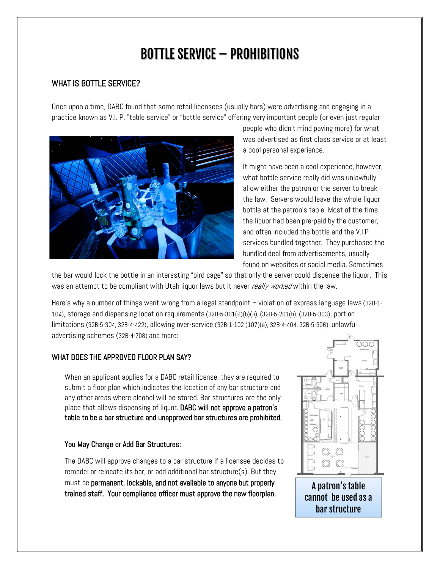# BOTTLE SERVICE – PROHIBITIONS

#### WHAT IS BOTTLE SERVICE?

Once upon a time, DABC found that some retail licensees (usually bars) were advertising and engaging in a practice known as V.I. P. "table service" or "bottle service" offering very important people (or even just regular



people who didn't mind paying more) for what was advertised as first class service or at least a cool personal experience.

It might have been a cool experience, however, what bottle service really did was unlawfully allow either the patron or the server to break the law. Servers would leave the whole liquor bottle at the patron's table. Most of the time the liquor had been pre-paid by the customer, and often included the bottle and the V.I.P services bundled together. They purchased the bundled deal from advertisements, usually found on websites or social media. Sometimes

the bar would lock the bottle in an interesting "bird cage" so that only the server could dispense the liquor. This was an attempt to be compliant with Utah liquor laws but it never really worked within the law.

Here's why a number of things went wrong from a legal standpoint – violation of express language laws (32B-1- 104), storage and dispensing location requirements (32B-5-301(9)(b)(ii), (32B-5-201(h), (32B-5-303), portion limitations (32B-5-304, 32B-4-422), allowing over-service (32B-1-102 (107)(a), 32B-4-404, 32B-5-306), unlawful advertising schemes (32B-4-708) and more:

#### WHAT DOES THE APPROVED FLOOR PLAN SAY?

When an applicant applies for a DABC retail license, they are required to submit a floor plan which indicates the location of any bar structure and any other areas where alcohol will be stored. Bar structures are the only place that allows dispensing of liquor. DABC will not approve a patron's table to be a bar structure and unapproved bar structures are prohibited.

#### You May Change or Add Bar Structures:

The DABC will approve changes to a bar structure if a licensee decides to remodel or relocate its bar, or add additional bar structure(s). But they must be permanent, lockable, and not available to anyone but properly trained staff. Your compliance officer must approve the new floorplan.



cannot be used as a bar structure